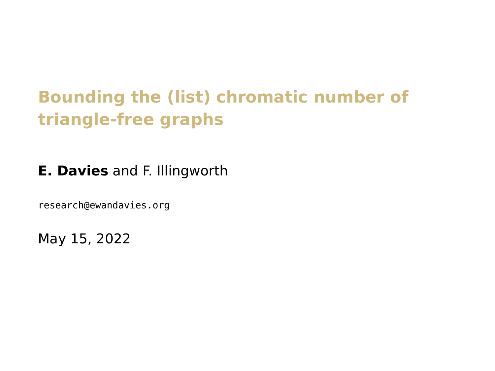# **Bounding the (list) chromatic number of triangle-free graphs**

**E. Davies** and F. Illingworth

[research@ewandavies.org](mailto:research@ewandavies.org)

May 15, 2022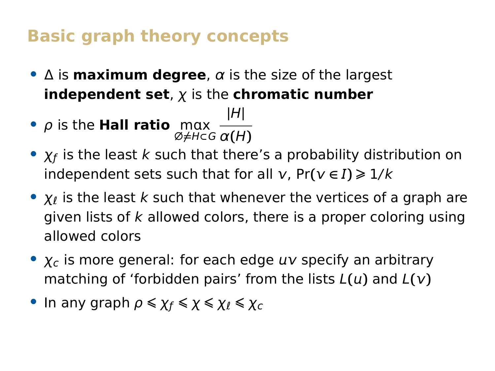### **Basic graph theory concepts**

- **•** Δ is **maximum degree**, α is the size of the largest **independent set**, χ is the **chromatic number**
- **•** *ρ* is the **Hall ratio** mαx ∅**̸=**H**⊂**G α**(**H**) |**H**|**
- **•**  $\chi_f$  is the least k such that there's a probability distribution on independent sets such that for all  $v$ ,  $Pr(v \in I) \ge 1/k$
- **χ**<sub>l</sub> is the least k such that whenever the vertices of a graph are given lists of  $k$  allowed colors, there is a proper coloring using allowed colors
- $\chi_c$  is more general: for each edge  $uv$  specify an arbitrary matching of 'forbidden pairs' from the lists  $L(u)$  and  $L(v)$
- In any graph  $\rho \leq \chi_f \leq \chi \leq \chi_f \leq \chi_c$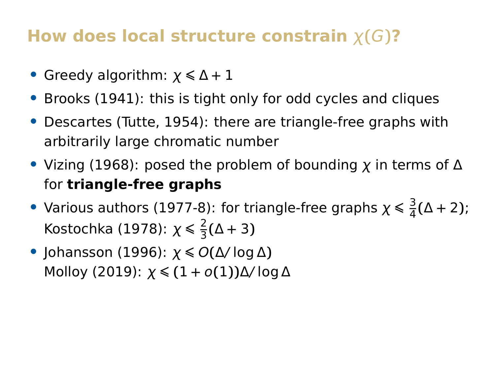#### **How does local structure constrain** χ**(**G**)?**

- **•** Greedy algorithm: <sup>χ</sup> **<sup>⩽</sup>** <sup>Δ</sup> **<sup>+</sup>** <sup>1</sup>
- **•** Brooks (1941): this is tight only for odd cycles and cliques
- **•** Descartes (Tutte, 1954): there are triangle-free graphs with arbitrarily large chromatic number
- **•** Vizing (1968): posed the problem of bounding χ in terms of Δ for **triangle-free graphs**
- Various authors (1977-8): for triangle-free graphs  $\chi \leq \frac{3}{4}$  $\frac{3}{4}(\Delta + 2);$ Kostochka (1978):  $\chi \leqslant \frac{2}{3}$  $\frac{2}{3}(\Delta + 3)$
- **•** Johansson (1996): <sup>χ</sup> **<sup>⩽</sup>** <sup>O</sup>**(**Δ/ log Δ**)** Molloy (2019): χ **<sup>⩽</sup> (**1 **+** o**(**1**))**Δ/ log Δ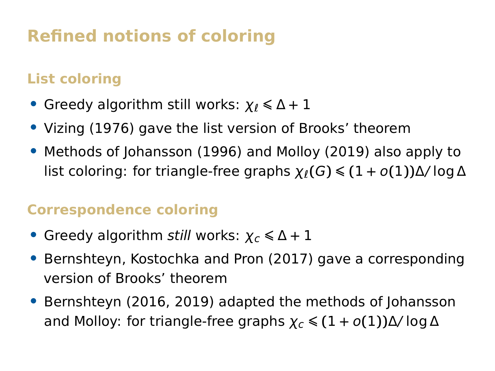# **Refined notions of coloring**

#### **List coloring**

- **•** Greedy algorithm still works: <sup>χ</sup><sup>ℓ</sup> **<sup>⩽</sup>** <sup>Δ</sup> **<sup>+</sup>** <sup>1</sup>
- **•** Vizing (1976) gave the list version of Brooks' theorem
- **•** Methods of Johansson (1996) and Molloy (2019) also apply to list coloring: for triangle-free graphs  $\chi_{\ell}(G) \leq (1 + o(1))\Delta/\log \Delta$

#### **Correspondence coloring**

- **•** Greedy algorithm *still* works:  $\chi$ <sub>*c*</sub> ≤ Δ + 1
- **•** Bernshteyn, Kostochka and Pron (2017) gave a corresponding version of Brooks' theorem
- **•** Bernshteyn (2016, 2019) adapted the methods of Johansson and Molloy: for triangle-free graphs  $\chi_c \leq (1 + o(1))\Delta/\log \Delta$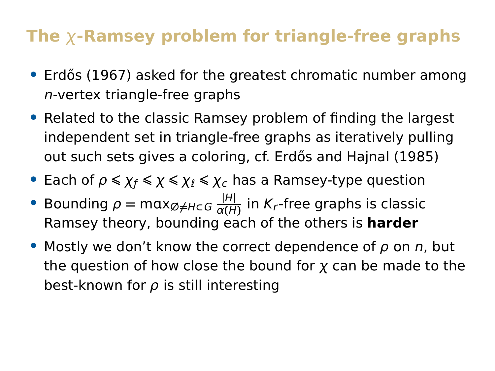## **The** χ**-Ramsey problem for triangle-free graphs**

- Erdős (1967) asked for the greatest chromatic number among n-vertex triangle-free graphs
- **•** Related to the classic Ramsey problem of finding the largest independent set in triangle-free graphs as iteratively pulling out such sets gives a coloring, cf. Erdős and Hajnal (1985)
- **•** Each of  $\rho \leq \chi_f \leq \chi$  ≤  $\chi_{\ell} \leq \chi_c$  has a Ramsey-type question
- **•** Bounding <sup>ρ</sup> **<sup>=</sup>** mx∅**̸=**H**⊂**<sup>G</sup> **|**H**|**  $\frac{|H|}{\alpha(H)}$  in K<sub>r</sub>-free graphs is classic Ramsey theory, bounding each of the others is **harder**
- **•** Mostly we don't know the correct dependence of ρ on n, but the question of how close the bound for  $x$  can be made to the best-known for  $\rho$  is still interesting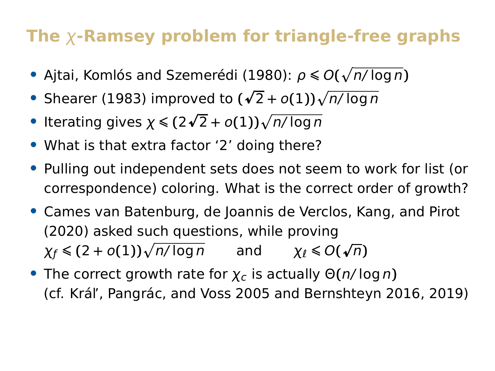# **The** χ**-Ramsey problem for triangle-free graphs**

- **•** Ajtai, Komlós and Szemerédi (1980):  $\rho$  ≤ *O*( $\sqrt{\frac{n}{\log n}}$ )
- **•** Shearer (1983) improved to **( p**  $\sqrt{2} + o(1) \sqrt{n/\log n}$
- Iterating gives  $χ ≤ (2√$  $\sqrt{2} + o(1) \sqrt{n/\log n}$
- **•** What is that extra factor '2' doing there?
- **•** Pulling out independent sets does not seem to work for list (or correspondence) coloring. What is the correct order of growth?
- **•** Cames van Batenburg, de Joannis de Verclos, Kang, and Pirot (2020) asked such questions, while proving  $\chi_f \leq (2+o(1))\sqrt{n/\log n}$  and  $\chi_\ell \leq O(n)$ **p** n**)**
- **•** The correct growth rate for  $\chi_c$  is actually  $\Theta(n/\log n)$ (cf. Král', Pangrác, and Voss 2005 and Bernshteyn 2016, 2019)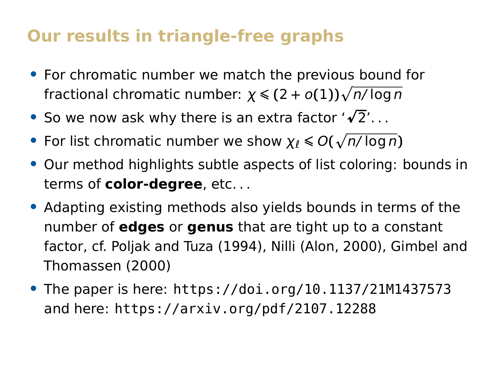#### **Our results in triangle-free graphs**

- **•** For chromatic number we match the previous bound for fractional chromatic number:  $\chi \leqslant (2+o(1))\sqrt{n/\log n}$
- **•** So we now ask why there is an extra factor '√2'...
- **•** For list chromatic number we show  $\chi$ <sub>*l*</sub> ≤ *O*( $\sqrt{n/\log n}$ )
- **•** Our method highlights subtle aspects of list coloring: bounds in terms of **color-degree**, etc. . .
- **•** Adapting existing methods also yields bounds in terms of the number of **edges** or **genus** that are tight up to a constant factor, cf. Poljak and Tuza (1994), Nilli (Alon, 2000), Gimbel and Thomassen (2000)
- **•** The paper is here: <https://doi.org/10.1137/21M1437573> and here: <https://arxiv.org/pdf/2107.12288>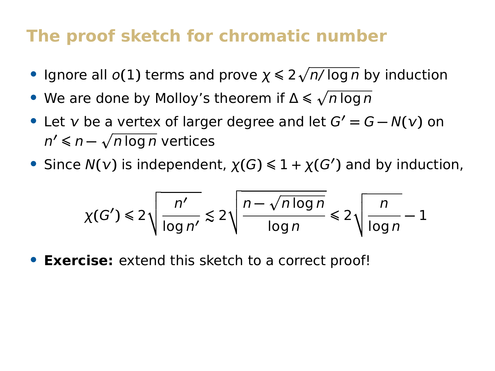#### **The proof sketch for chromatic number**

- **•** Ignore all *o*(1) terms and prove  $\chi$  ≤ 2 $\sqrt{n/\log n}$  by induction
- **•** We are done by Molloy's theorem if Δ ≤  $\sqrt{n \log n}$
- Let  $v$  be a vertex of larger degree and let  $G' = G N(v)$  on *n'* ≤ *n* − √*n* log *n* vertices
- **•** Since  $N(v)$  is independent,  $\chi(G) \leq 1 + \chi(G')$  and by induction,

$$
\chi(G') \leq 2\sqrt{\frac{n'}{\log n'}} \lesssim 2\sqrt{\frac{n-\sqrt{n\log n}}{\log n}} \leq 2\sqrt{\frac{n}{\log n}} - 1
$$

**• Exercise:** extend this sketch to a correct proof!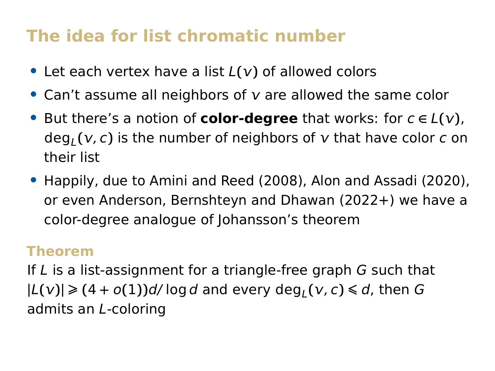# **The idea for list chromatic number**

- Let each vertex have a list  $L(v)$  of allowed colors
- Can't assume all neighbors of v are allowed the same color
- **•** But there's a notion of **color-degree** that works: for <sup>c</sup> **<sup>∈</sup>** <sup>L</sup>**()**, deg<sub>L</sub>(v, c) is the number of neighbors of v that have color c on their list
- **•** Happily, due to Amini and Reed (2008), Alon and Assadi (2020), or even Anderson, Bernshteyn and Dhawan (2022+) we have a color-degree analogue of Johansson's theorem

#### **Theorem**

If L is a list-assignment for a triangle-free graph G such that  $|L(v)| \geq (4 + o(1))d/\log d$  and every  $deg_L(v, c) \leq d$ , then G admits an L-coloring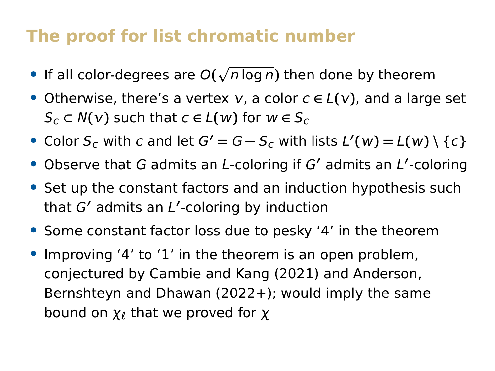#### **The proof for list chromatic number**

- If all color-degrees are  $O(\sqrt{n \log n})$  then done by theorem
- **•** Otherwise, there's a vertex , a color <sup>c</sup> **<sup>∈</sup>** <sup>L</sup>**()**, and a large set  $S_c \subset N(\nu)$  such that  $c \in L(\nu)$  for  $w \in S_c$
- Color  $S_c$  with c and let  $G' = G S_c$  with lists  $L'(w) = L(w) \setminus \{c\}$
- Observe that G admits an *L*-coloring if G' admits an *L'*-coloring
- **•** Set up the constant factors and an induction hypothesis such that G**′** admits an L **′** -coloring by induction
- **•** Some constant factor loss due to pesky '4' in the theorem
- **•** Improving '4' to '1' in the theorem is an open problem, conjectured by Cambie and Kang (2021) and Anderson, Bernshteyn and Dhawan (2022+); would imply the same bound on  $\chi_{\ell}$  that we proved for  $\chi$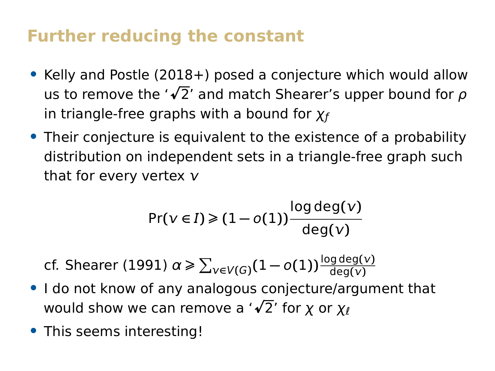#### **Further reducing the constant**

- **•** Kelly and Postle (2018+) posed a conjecture which would allow Neiry and Fostie (2016+) posed a conjecture which would allow<br>us to remove the '√2' and match Shearer's upper bound for *ρ* in triangle-free graphs with a bound for  $\chi_f$
- **•** Their conjecture is equivalent to the existence of a probability distribution on independent sets in a triangle-free graph such that for every vertex  $v$

$$
\Pr(\nu \in I) \geq (1 - o(1)) \frac{\log \deg(\nu)}{\deg(\nu)}
$$

 ${\rm cf.}$  Shearer (1991)  $\alpha\geqslant\sum_{\nu\in V(G)}(1-o(1))\frac{\log\deg(\nu)}{\deg(\nu)}$ 

- **•** I do not know of any analogous conjecture/argument that would show we can remove a '**<sup>p</sup>** 2' for χ or χ<sup>ℓ</sup>
- **•** This seems interesting!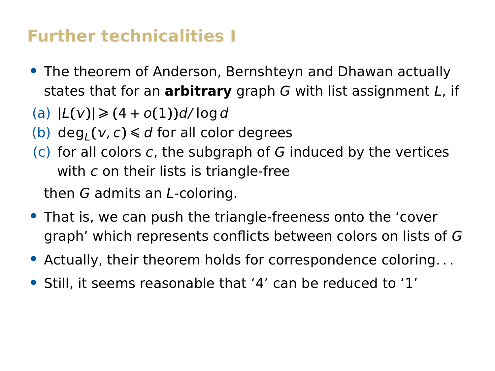#### **Further technicalities I**

- **•** The theorem of Anderson, Bernshteyn and Dhawan actually states that for an **arbitrary** graph G with list assignment L, if
- $|L(v)| \geq (4 + o(1))d/\log d$
- (b)  $deg_L(v, c) \le d$  for all color degrees
- $(c)$  for all colors c, the subgraph of G induced by the vertices with c on their lists is triangle-free

then G admits an L-coloring.

- **•** That is, we can push the triangle-freeness onto the 'cover graph' which represents conflicts between colors on lists of G
- **•** Actually, their theorem holds for correspondence coloring. . .
- **•** Still, it seems reasonable that '4' can be reduced to '1'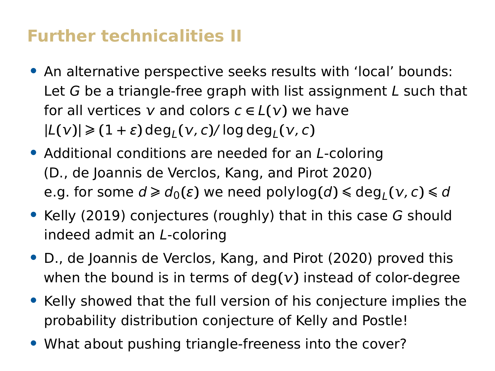### **Further technicalities II**

- **•** An alternative perspective seeks results with 'local' bounds: Let G be a triangle-free graph with list assignment L such that for all vertices  $v$  and colors  $c \in L(v)$  we have  $|L(v)| \geq (1 + \varepsilon) \deg_L(v, c) / \log \deg_L(v, c)$
- **•** Additional conditions are needed for an L-coloring (D., de Joannis de Verclos, Kang, and Pirot 2020)  $\mathbf{e} \cdot \mathbf{g}$ . for some  $d \geq d_0(\varepsilon)$  we need polylog $(d) \leq \deg_L(\mathbf{v}, c) \leq d$
- **•** Kelly (2019) conjectures (roughly) that in this case G should indeed admit an L-coloring
- **•** D., de Joannis de Verclos, Kang, and Pirot (2020) proved this when the bound is in terms of deg**()** instead of color-degree
- **•** Kelly showed that the full version of his conjecture implies the probability distribution conjecture of Kelly and Postle!
- **•** What about pushing triangle-freeness into the cover?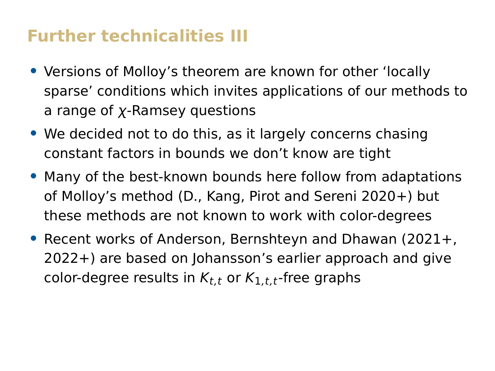#### **Further technicalities III**

- **•** Versions of Molloy's theorem are known for other 'locally sparse' conditions which invites applications of our methods to a range of χ-Ramsey questions
- **•** We decided not to do this, as it largely concerns chasing constant factors in bounds we don't know are tight
- **•** Many of the best-known bounds here follow from adaptations of Molloy's method (D., Kang, Pirot and Sereni 2020+) but these methods are not known to work with color-degrees
- **•** Recent works of Anderson, Bernshteyn and Dhawan (2021+, 2022+) are based on Johansson's earlier approach and give color-degree results in  $K_{t,t}$  or  $K_{1,t}$ -free graphs